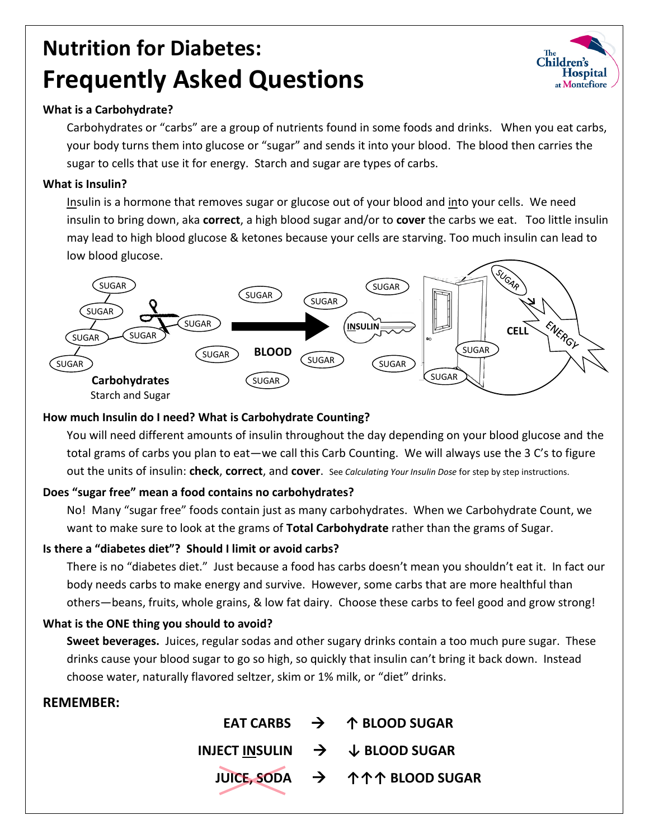# **Nutrition for Diabetes: Frequently Asked Questions**



Carbohydrates or "carbs" are a group of nutrients found in some foods and drinks. When you eat carbs, your body turns them into glucose or "sugar" and sends it into your blood. The blood then carries the sugar to cells that use it for energy. Starch and sugar are types of carbs.

### **What is Insulin?**

Insulin is a hormone that removes sugar or glucose out of your blood and into your cells. We need insulin to bring down, aka **correct**, a high blood sugar and/or to **cover** the carbs we eat. Too little insulin may lead to high blood glucose & ketones because your cells are starving. Too much insulin can lead to low blood glucose.



#### **How much Insulin do I need? What is Carbohydrate Counting?**

You will need different amounts of insulin throughout the day depending on your blood glucose and the total grams of carbs you plan to eat—we call this Carb Counting. We will always use the 3 C's to figure out the units of insulin: **check**, **correct**, and **cover**. See *Calculating Your Insulin Dose* for step by step instructions.

#### **Does "sugar free" mean a food contains no carbohydrates?**

No! Many "sugar free" foods contain just as many carbohydrates. When we Carbohydrate Count, we want to make sure to look at the grams of **Total Carbohydrate** rather than the grams of Sugar.

#### **Is there a "diabetes diet"? Should I limit or avoid carbs?**

There is no "diabetes diet." Just because a food has carbs doesn't mean you shouldn't eat it. In fact our body needs carbs to make energy and survive. However, some carbs that are more healthful than others—beans, fruits, whole grains, & low fat dairy. Choose these carbs to feel good and grow strong!

### **What is the ONE thing you should to avoid?**

**Sweet beverages.** Juices, regular sodas and other sugary drinks contain a too much pure sugar. These drinks cause your blood sugar to go so high, so quickly that insulin can't bring it back down. Instead choose water, naturally flavored seltzer, skim or 1% milk, or "diet" drinks.

### **REMEMBER:**

|  | EAT CARBS $\rightarrow$ 1 BLOOD SUGAR                 |
|--|-------------------------------------------------------|
|  | INJECT INSULIN $\rightarrow$ $\downarrow$ BLOOD SUGAR |
|  | JUICE, SODA → 个个个 BLOOD SUGAR                         |

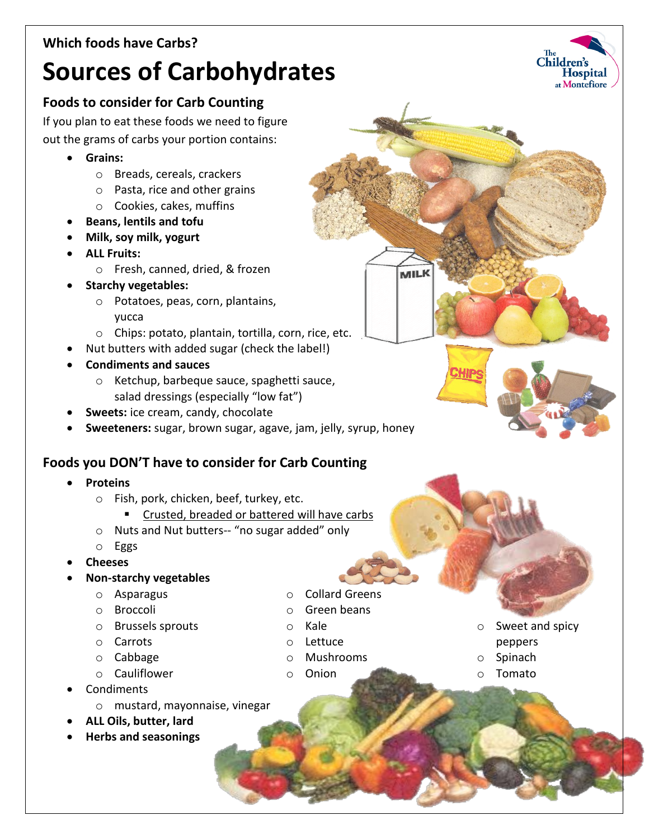## **Which foods have Carbs?**

## **Sources of Carbohydrates**

## **Foods to consider for Carb Counting**

If you plan to eat these foods we need to figure out the grams of carbs your portion contains:

- **Grains:** 
	- o Breads, cereals, crackers
	- o Pasta, rice and other grains
	- o Cookies, cakes, muffins
- **Beans, lentils and tofu**
- **Milk, soy milk, yogurt**
- **ALL Fruits:**
	- o Fresh, canned, dried, & frozen
- **Starchy vegetables:** 
	- o Potatoes, peas, corn, plantains, yucca
	- o Chips: potato, plantain, tortilla, corn, rice, etc.
- Nut butters with added sugar (check the label!)
- **Condiments and sauces**
	- o Ketchup, barbeque sauce, spaghetti sauce, salad dressings (especially "low fat")
- **Sweets:** ice cream, candy, chocolate
- **Sweeteners:** sugar, brown sugar, agave, jam, jelly, syrup, honey

## **Foods you DON'T have to consider for Carb Counting**

- **Proteins**
	- o Fish, pork, chicken, beef, turkey, etc.
		- Crusted, breaded or battered will have carbs
	- o Nuts and Nut butters-- "no sugar added" only
	- o Eggs
- **Cheeses**
- **Non-starchy vegetables**
	- o Asparagus
	- o Broccoli
	- o Brussels sprouts
	- o Carrots
	- o Cabbage
	- o Cauliflower
- Condiments
	- o mustard, mayonnaise, vinegar
- **ALL Oils, butter, lard**
- **Herbs and seasonings**
- o Collard Greens
- o Green beans
- o Kale
- o Lettuce
- o Mushrooms
- o Onion

o Sweet and spicy

MILK

- peppers
- o Spinach
- **Tomato**

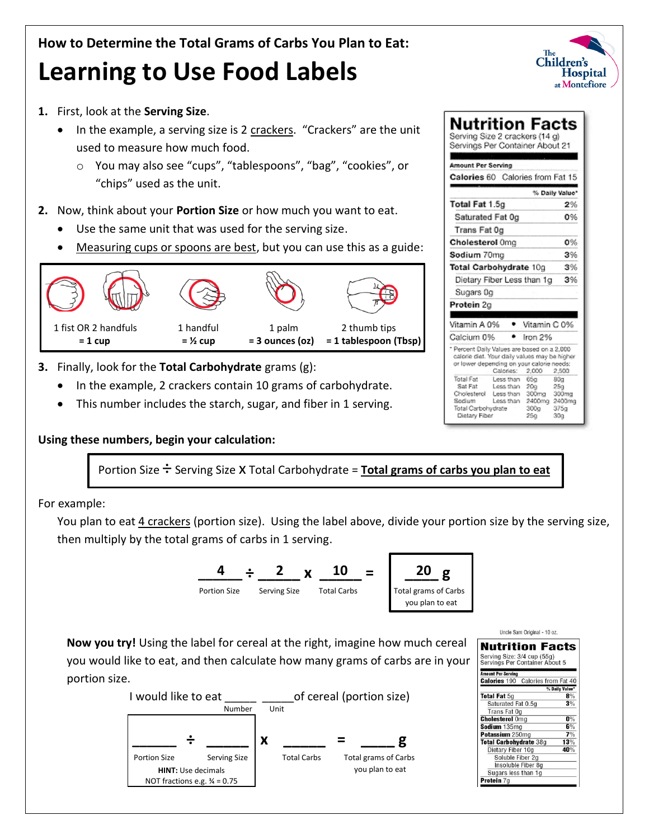





**Now you try!** Using the label for cereal at the right, imagine how much cereal you would like to eat, and then calculate how many grams of carbs are in your portion size.



| <b>Nutrition Facts</b>                                        |                |
|---------------------------------------------------------------|----------------|
| Serving Size: 3/4 cup (55g)<br>Servings Per Container About 5 |                |
| <b>Amount Per Serving</b>                                     |                |
| <b>Calories 190</b> Calories from Fat 40                      |                |
|                                                               | % Daily Value* |
| <b>Total Fat 5g</b>                                           | 8%             |
| Saturated Fat 0.5g                                            | 3%             |
| Trans Fat Og                                                  |                |
| <b>Cholesterol</b> Omg                                        | $0\%$          |
| Sodium 135mg                                                  | 6%             |
| Potassium 250mg                                               | 7%             |
| <b>Total Carbohydrate 38g</b>                                 | 13%            |
| Dietary Fiber 10g                                             | 40%            |
| Soluble Fiber 2g                                              |                |
| Insoluble Fiber 8g                                            |                |
| Sugars less than 1g                                           |                |
| Protein 7a                                                    |                |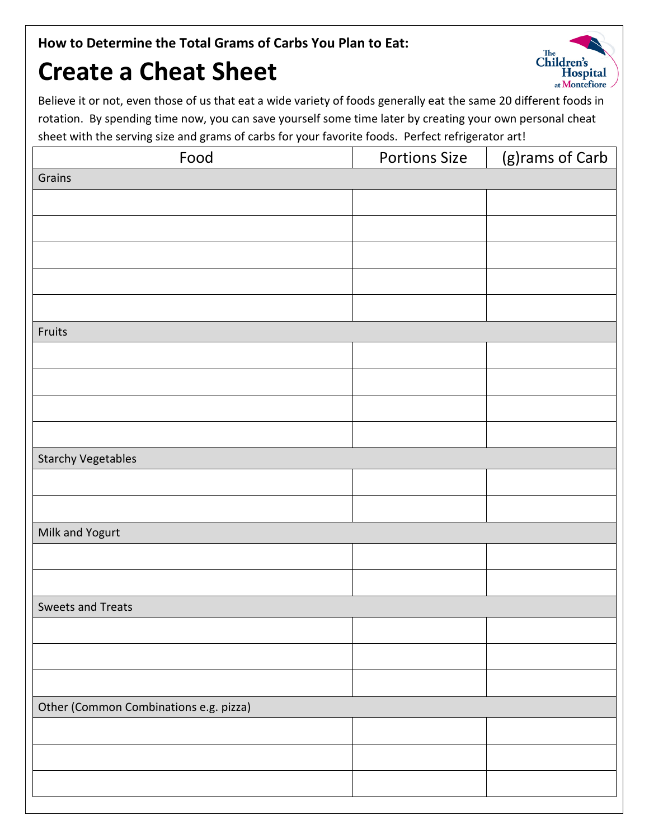**How to Determine the Total Grams of Carbs You Plan to Eat:**

## **Create a Cheat Sheet**



Believe it or not, even those of us that eat a wide variety of foods generally eat the same 20 different foods in rotation. By spending time now, you can save yourself some time later by creating your own personal cheat sheet with the serving size and grams of carbs for your favorite foods. Perfect refrigerator art!

| Food                                   | <b>Portions Size</b> | (g)rams of Carb |  |  |  |  |  |
|----------------------------------------|----------------------|-----------------|--|--|--|--|--|
| Grains                                 |                      |                 |  |  |  |  |  |
|                                        |                      |                 |  |  |  |  |  |
|                                        |                      |                 |  |  |  |  |  |
|                                        |                      |                 |  |  |  |  |  |
|                                        |                      |                 |  |  |  |  |  |
|                                        |                      |                 |  |  |  |  |  |
|                                        |                      |                 |  |  |  |  |  |
| Fruits                                 |                      |                 |  |  |  |  |  |
|                                        |                      |                 |  |  |  |  |  |
|                                        |                      |                 |  |  |  |  |  |
|                                        |                      |                 |  |  |  |  |  |
|                                        |                      |                 |  |  |  |  |  |
| <b>Starchy Vegetables</b>              |                      |                 |  |  |  |  |  |
|                                        |                      |                 |  |  |  |  |  |
|                                        |                      |                 |  |  |  |  |  |
| Milk and Yogurt                        |                      |                 |  |  |  |  |  |
|                                        |                      |                 |  |  |  |  |  |
|                                        |                      |                 |  |  |  |  |  |
| Sweets and Treats                      |                      |                 |  |  |  |  |  |
|                                        |                      |                 |  |  |  |  |  |
|                                        |                      |                 |  |  |  |  |  |
|                                        |                      |                 |  |  |  |  |  |
| Other (Common Combinations e.g. pizza) |                      |                 |  |  |  |  |  |
|                                        |                      |                 |  |  |  |  |  |
|                                        |                      |                 |  |  |  |  |  |
|                                        |                      |                 |  |  |  |  |  |
|                                        |                      |                 |  |  |  |  |  |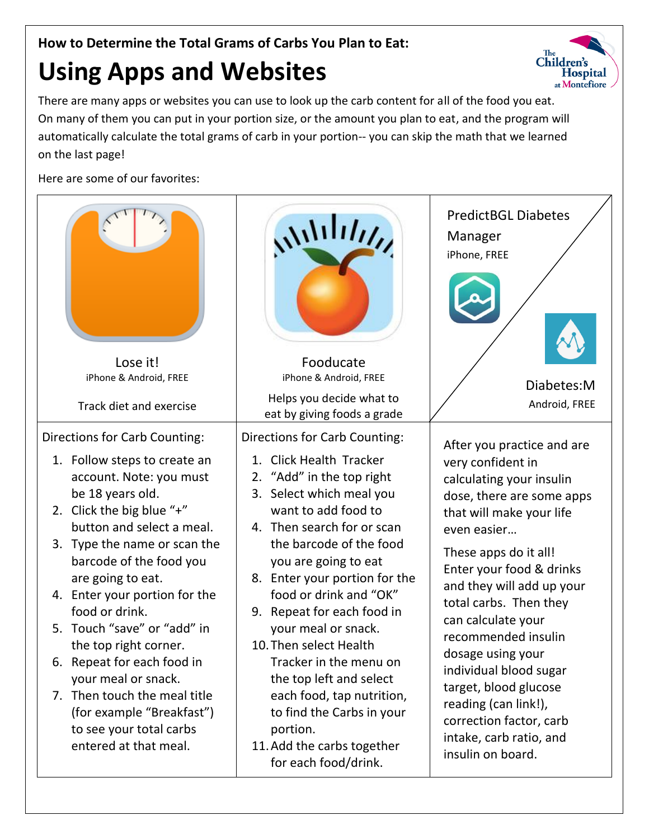## **How to Determine the Total Grams of Carbs You Plan to Eat:**

## **Using Apps and Websites**

There are many apps or websites you can use to look up the carb content for all of the food you eat. On many of them you can put in your portion size, or the amount you plan to eat, and the program will automatically calculate the total grams of carb in your portion-- you can skip the math that we learned on the last page!

Here are some of our favorites: